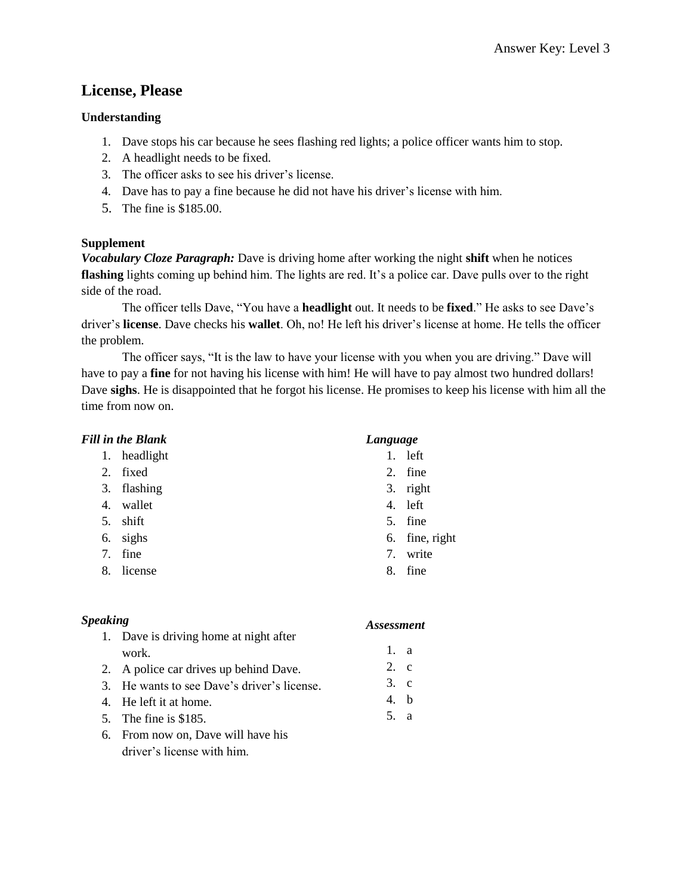## **License, Please**

### **Understanding**

- 1. Dave stops his car because he sees flashing red lights; a police officer wants him to stop.
- 2. A headlight needs to be fixed.
- 3. The officer asks to see his driver's license.
- 4. Dave has to pay a fine because he did not have his driver's license with him.
- 5. The fine is \$185.00.

## **Supplement**

*Vocabulary Cloze Paragraph:* Dave is driving home after working the night **shift** when he notices **flashing** lights coming up behind him. The lights are red. It's a police car. Dave pulls over to the right side of the road.

The officer tells Dave, "You have a **headlight** out. It needs to be **fixed**." He asks to see Dave's driver's **license**. Dave checks his **wallet**. Oh, no! He left his driver's license at home. He tells the officer the problem.

The officer says, "It is the law to have your license with you when you are driving." Dave will have to pay a **fine** for not having his license with him! He will have to pay almost two hundred dollars! Dave **sighs**. He is disappointed that he forgot his license. He promises to keep his license with him all the time from now on.

## *Fill in the Blank*

- 1. headlight
- 2. fixed
- 3. flashing
- 4. wallet
- 5. shift
- 6. sighs
- 7. fine
- 8. license

## *Language*

- 1. left
- 2. fine
- 3. right
- 4. left
- 5. fine
- 6. fine, right
- 7. write
- 8. fine

### *Speaking*

- 1. Dave is driving home at night after work.
- 2. A police car drives up behind Dave.
- 3. He wants to see Dave's driver's license.
- 4. He left it at home.
- 5. The fine is \$185.
- 6. From now on, Dave will have his driver's license with him.

- 1. a
- 2. c
- 3. c
- 4. b
- 5. a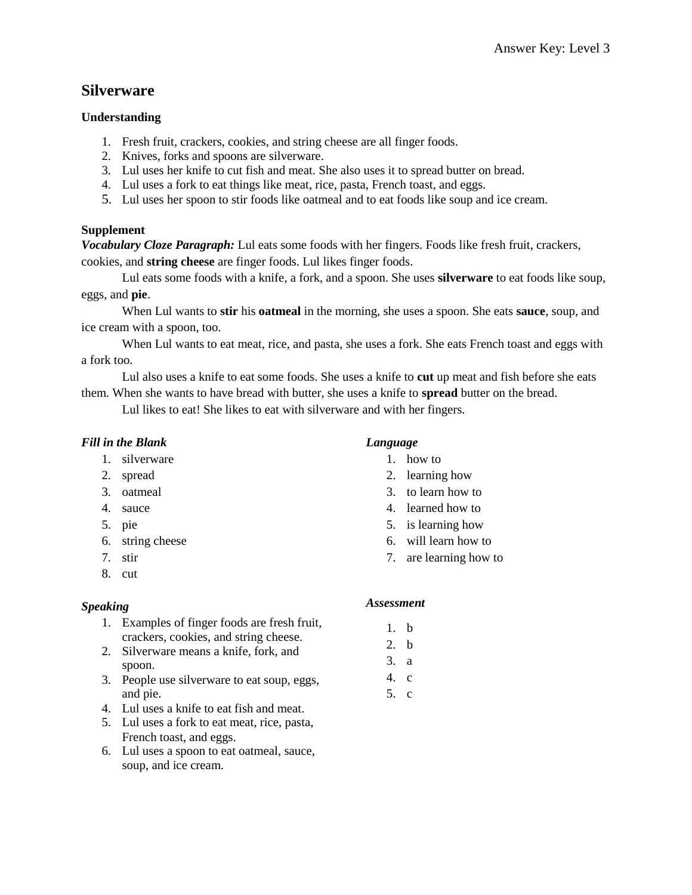## **Silverware**

#### **Understanding**

- 1. Fresh fruit, crackers, cookies, and string cheese are all finger foods.
- 2. Knives, forks and spoons are silverware.
- 3. Lul uses her knife to cut fish and meat. She also uses it to spread butter on bread.
- 4. Lul uses a fork to eat things like meat, rice, pasta, French toast, and eggs.
- 5. Lul uses her spoon to stir foods like oatmeal and to eat foods like soup and ice cream.

#### **Supplement**

*Vocabulary Cloze Paragraph:* Lul eats some foods with her fingers. Foods like fresh fruit, crackers, cookies, and **string cheese** are finger foods. Lul likes finger foods.

Lul eats some foods with a knife, a fork, and a spoon. She uses **silverware** to eat foods like soup, eggs, and **pie**.

When Lul wants to **stir** his **oatmeal** in the morning, she uses a spoon. She eats **sauce**, soup, and ice cream with a spoon, too.

When Lul wants to eat meat, rice, and pasta, she uses a fork. She eats French toast and eggs with a fork too.

Lul also uses a knife to eat some foods. She uses a knife to **cut** up meat and fish before she eats them. When she wants to have bread with butter, she uses a knife to **spread** butter on the bread.

Lul likes to eat! She likes to eat with silverware and with her fingers.

### *Fill in the Blank*

- 1. silverware
- 2. spread
- 3. oatmeal
- 4. sauce
- 5. pie
- 6. string cheese
- 7. stir
- 8. cut

### *Speaking*

- 1. Examples of finger foods are fresh fruit, crackers, cookies, and string cheese.
- 2. Silverware means a knife, fork, and spoon.
- 3. People use silverware to eat soup, eggs, and pie.
- 4. Lul uses a knife to eat fish and meat.
- 5. Lul uses a fork to eat meat, rice, pasta, French toast, and eggs.
- 6. Lul uses a spoon to eat oatmeal, sauce, soup, and ice cream.

#### *Language*

- 1. how to
- 2. learning how
- 3. to learn how to
- 4. learned how to
- 5. is learning how
- 6. will learn how to
- 7. are learning how to

- 1. b
- 2. b
- 3. a 4. c
- 5. c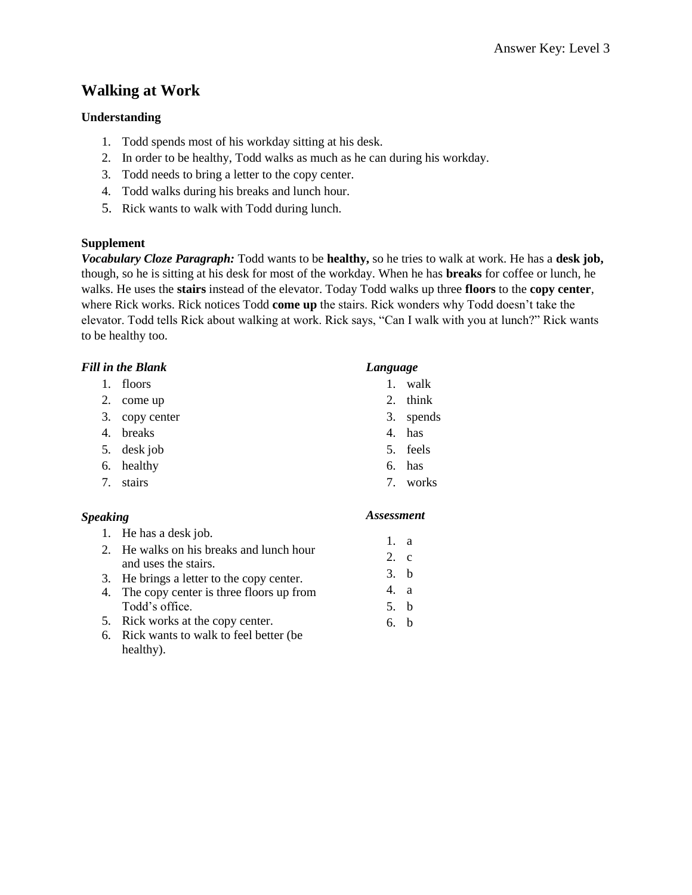# **Walking at Work**

## **Understanding**

- 1. Todd spends most of his workday sitting at his desk.
- 2. In order to be healthy, Todd walks as much as he can during his workday.
- 3. Todd needs to bring a letter to the copy center.
- 4. Todd walks during his breaks and lunch hour.
- 5. Rick wants to walk with Todd during lunch.

## **Supplement**

*Vocabulary Cloze Paragraph:* Todd wants to be **healthy,** so he tries to walk at work. He has a **desk job,** though, so he is sitting at his desk for most of the workday. When he has **breaks** for coffee or lunch, he walks. He uses the **stairs** instead of the elevator. Today Todd walks up three **floors** to the **copy center**, where Rick works. Rick notices Todd **come up** the stairs. Rick wonders why Todd doesn't take the elevator. Todd tells Rick about walking at work. Rick says, "Can I walk with you at lunch?" Rick wants to be healthy too.

| <b>Fill in the Blank</b> |             |            | Language |  |
|--------------------------|-------------|------------|----------|--|
| 1.                       | floors      | 1.         | walk     |  |
| 2.                       | come up     | 2.         | think    |  |
| 3.                       | copy center | 3.         | speno    |  |
| 4.                       | breaks      |            | 4. has   |  |
| 5.                       | desk job    |            | 5. feels |  |
| 6.                       | healthy     |            | 6. has   |  |
| 7.                       | stairs      |            | 7. work  |  |
| <b>Speaking</b>          |             | Assessment |          |  |

- 1. He has a desk job.
- 2. He walks on his breaks and lunch hour and uses the stairs.
- 3. He brings a letter to the copy center.
- 4. The copy center is three floors up from Todd's office.
- 5. Rick works at the copy center.
- 6. Rick wants to walk to feel better (be healthy).
- 
- 
- $ds$
- $S$

- 1. a
- 2. c
- 3. b
- 4. a
- 5. b
- 6. b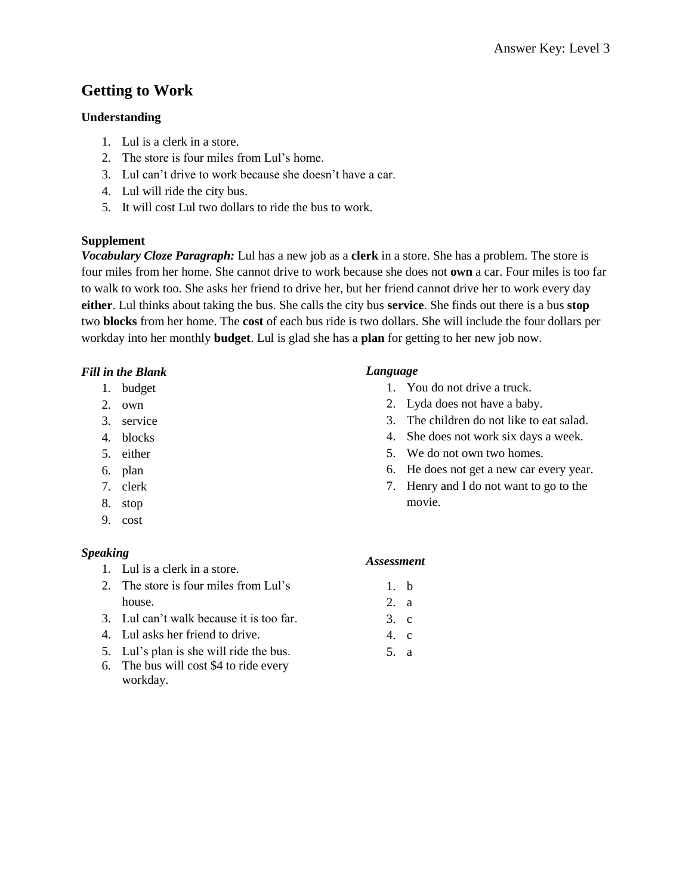# **Getting to Work**

### **Understanding**

- 1. Lul is a clerk in a store.
- 2. The store is four miles from Lul's home.
- 3. Lul can't drive to work because she doesn't have a car.
- 4. Lul will ride the city bus.
- 5. It will cost Lul two dollars to ride the bus to work.

## **Supplement**

*Vocabulary Cloze Paragraph:* Lul has a new job as a **clerk** in a store. She has a problem. The store is four miles from her home. She cannot drive to work because she does not **own** a car. Four miles is too far to walk to work too. She asks her friend to drive her, but her friend cannot drive her to work every day **either**. Lul thinks about taking the bus. She calls the city bus **service**. She finds out there is a bus **stop** two **blocks** from her home. The **cost** of each bus ride is two dollars. She will include the four dollars per workday into her monthly **budget**. Lul is glad she has a **plan** for getting to her new job now.

## *Fill in the Blank*

- 1. budget
- 2. own
- 3. service
- 4. blocks
- 5. either
- 6. plan
- 7. clerk
- 8. stop
- 9. cost

## *Speaking*

- 1. Lul is a clerk in a store.
- 2. The store is four miles from Lul's house.
- 3. Lul can't walk because it is too far.
- 4. Lul asks her friend to drive.
- 5. Lul's plan is she will ride the bus.
- 6. The bus will cost \$4 to ride every workday.

## *Language*

- 1. You do not drive a truck.
- 2. Lyda does not have a baby.
- 3. The children do not like to eat salad.
- 4. She does not work six days a week.
- 5. We do not own two homes.
- 6. He does not get a new car every year.
- 7. Henry and I do not want to go to the movie.

## *Assessment* 1. b 2. a  $3 \, c$ 4. c 5. a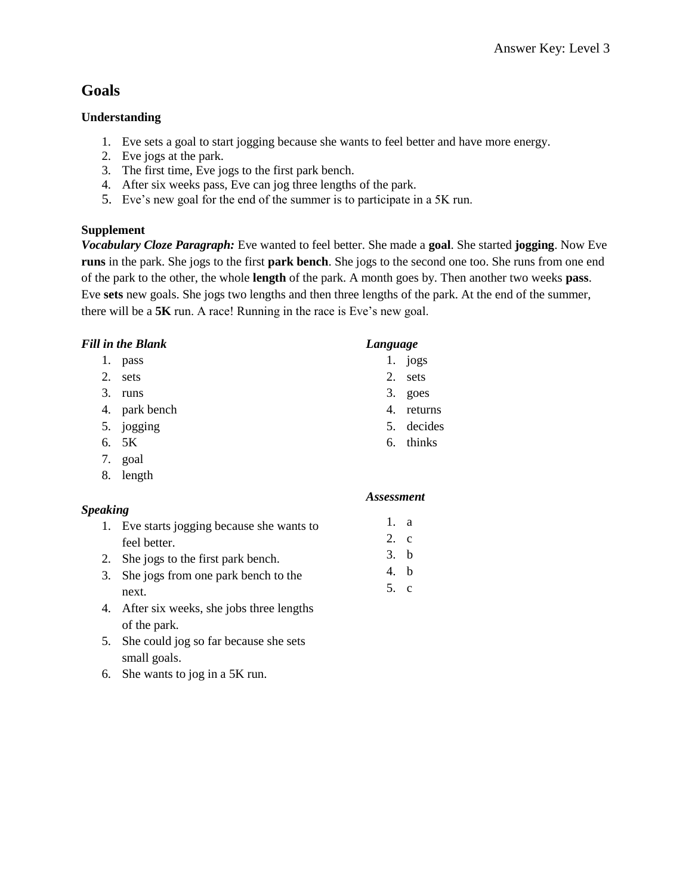# **Goals**

## **Understanding**

- 1. Eve sets a goal to start jogging because she wants to feel better and have more energy.
- 2. Eve jogs at the park.
- 3. The first time, Eve jogs to the first park bench.
- 4. After six weeks pass, Eve can jog three lengths of the park.
- 5. Eve's new goal for the end of the summer is to participate in a 5K run.

## **Supplement**

*Vocabulary Cloze Paragraph:* Eve wanted to feel better. She made a **goal**. She started **jogging**. Now Eve **runs** in the park. She jogs to the first **park bench**. She jogs to the second one too. She runs from one end of the park to the other, the whole **length** of the park. A month goes by. Then another two weeks **pass**. Eve **sets** new goals. She jogs two lengths and then three lengths of the park. At the end of the summer, there will be a **5K** run. A race! Running in the race is Eve's new goal.

## *Fill in the Blank*

- 1. pass
- 2. sets
- 3. runs
- 4. park bench
- 5. jogging
- 6. 5K
- 7. goal
- 8. length

## *Speaking*

- 1. Eve starts jogging because she wants to feel better.
- 2. She jogs to the first park bench.
- 3. She jogs from one park bench to the next.
- 4. After six weeks, she jobs three lengths of the park.
- 5. She could jog so far because she sets small goals.
- 6. She wants to jog in a 5K run.

#### *Language*

- 1. jogs
- 2. sets
- 3. goes
- 4. returns
- 5. decides
- 6. thinks

- 1. a
- 2. c
- 3. b
- 4. b
- 5. c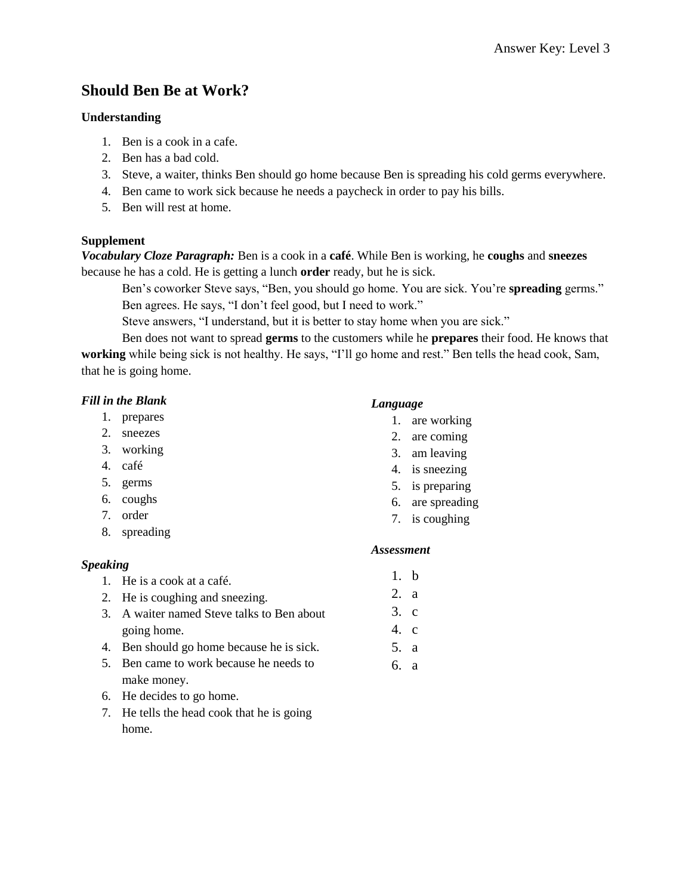# **Should Ben Be at Work?**

### **Understanding**

- 1. Ben is a cook in a cafe.
- 2. Ben has a bad cold.
- 3. Steve, a waiter, thinks Ben should go home because Ben is spreading his cold germs everywhere.
- 4. Ben came to work sick because he needs a paycheck in order to pay his bills.
- 5. Ben will rest at home.

### **Supplement**

*Vocabulary Cloze Paragraph:* Ben is a cook in a **café**. While Ben is working, he **coughs** and **sneezes** because he has a cold. He is getting a lunch **order** ready, but he is sick.

Ben's coworker Steve says, "Ben, you should go home. You are sick. You're **spreading** germs." Ben agrees. He says, "I don't feel good, but I need to work."

Steve answers, "I understand, but it is better to stay home when you are sick."

Ben does not want to spread **germs** to the customers while he **prepares** their food. He knows that **working** while being sick is not healthy. He says, "I'll go home and rest." Ben tells the head cook, Sam, that he is going home.

## *Fill in the Blank*

- 1. prepares
- 2. sneezes
- 3. working
- 4. café
- 5. germs
- 6. coughs
- 7. order
- 8. spreading

### *Speaking*

- 1. He is a cook at a café.
- 2. He is coughing and sneezing.
- 3. A waiter named Steve talks to Ben about going home.
- 4. Ben should go home because he is sick.
- 5. Ben came to work because he needs to make money.
- 6. He decides to go home.
- 7. He tells the head cook that he is going home.

#### *Language*

- 1. are working
- 2. are coming
- 3. am leaving
- 4. is sneezing
- 5. is preparing
- 6. are spreading
- 7. is coughing

#### *Assessment*

1. b 2. a 3. c 4. c 5. a 6. a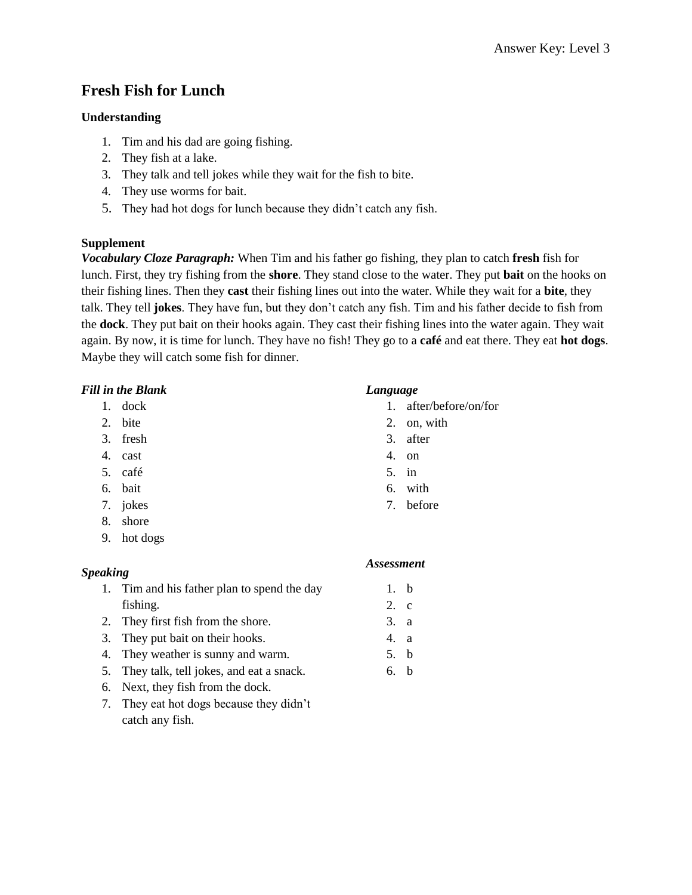# **Fresh Fish for Lunch**

### **Understanding**

- 1. Tim and his dad are going fishing.
- 2. They fish at a lake.
- 3. They talk and tell jokes while they wait for the fish to bite.
- 4. They use worms for bait.
- 5. They had hot dogs for lunch because they didn't catch any fish.

### **Supplement**

*Vocabulary Cloze Paragraph:* When Tim and his father go fishing, they plan to catch **fresh** fish for lunch. First, they try fishing from the **shore**. They stand close to the water. They put **bait** on the hooks on their fishing lines. Then they **cast** their fishing lines out into the water. While they wait for a **bite**, they talk. They tell **jokes**. They have fun, but they don't catch any fish. Tim and his father decide to fish from the **dock**. They put bait on their hooks again. They cast their fishing lines into the water again. They wait again. By now, it is time for lunch. They have no fish! They go to a **café** and eat there. They eat **hot dogs**. Maybe they will catch some fish for dinner.

### *Fill in the Blank*

- 1. dock
- 2. bite
- 3. fresh
- 4. cast
- 5. café
- 6. bait
- 7. jokes
- 8. shore
- 9. hot dogs

### *Speaking*

- 1. Tim and his father plan to spend the day fishing.
- 2. They first fish from the shore.
- 3. They put bait on their hooks.
- 4. They weather is sunny and warm.
- 5. They talk, tell jokes, and eat a snack.
- 6. Next, they fish from the dock.
- 7. They eat hot dogs because they didn't catch any fish.

#### *Language*

- 1. after/before/on/for
- 2. on, with
- 3. after
- 4. on
- 5. in
- 6. with
- 7. before

#### *Assessment*

1. b 2. c 3. a 4. a 5. b 6. b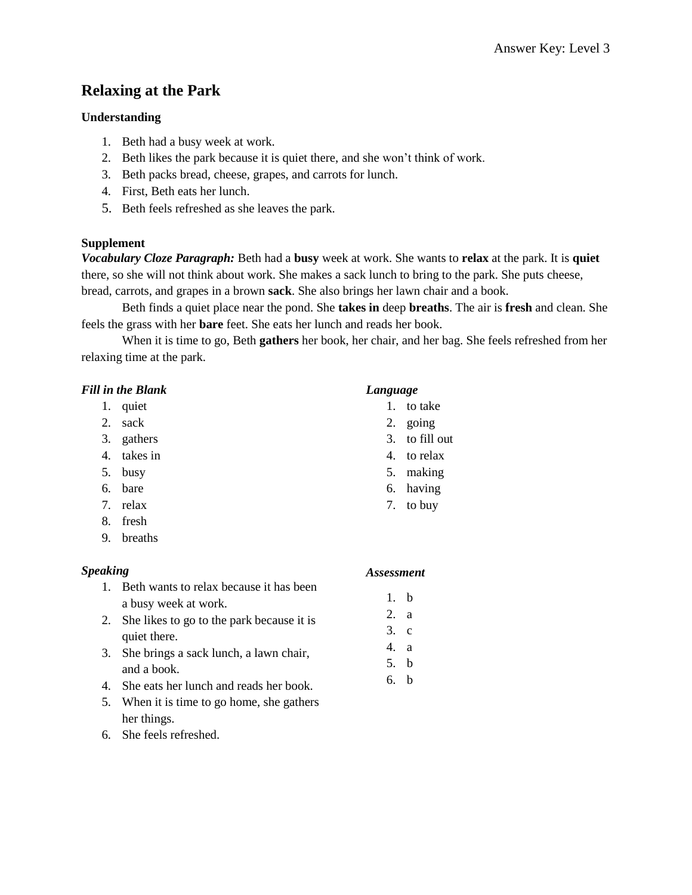# **Relaxing at the Park**

## **Understanding**

- 1. Beth had a busy week at work.
- 2. Beth likes the park because it is quiet there, and she won't think of work.
- 3. Beth packs bread, cheese, grapes, and carrots for lunch.
- 4. First, Beth eats her lunch.
- 5. Beth feels refreshed as she leaves the park.

## **Supplement**

*Vocabulary Cloze Paragraph:* Beth had a **busy** week at work. She wants to **relax** at the park. It is **quiet** there, so she will not think about work. She makes a sack lunch to bring to the park. She puts cheese, bread, carrots, and grapes in a brown **sack**. She also brings her lawn chair and a book.

Beth finds a quiet place near the pond. She **takes in** deep **breaths**. The air is **fresh** and clean. She feels the grass with her **bare** feet. She eats her lunch and reads her book.

When it is time to go, Beth **gathers** her book, her chair, and her bag. She feels refreshed from her relaxing time at the park.

### *Fill in the Blank*

- 1. quiet
- 2. sack
- 3. gathers
- 4. takes in
- 5. busy
- 6. bare
- 7. relax
- 8. fresh
- 9. breaths

### *Speaking*

- 1. Beth wants to relax because it has been a busy week at work.
- 2. She likes to go to the park because it is quiet there.
- 3. She brings a sack lunch, a lawn chair, and a book.
- 4. She eats her lunch and reads her book.
- 5. When it is time to go home, she gathers her things.
- 6. She feels refreshed.

#### *Language*

- 1. to take
- 2. going
- 3. to fill out
- 4. to relax
- 5. making
- 6. having
- 7. to buy

#### *Assessment*

1. b 2. a 3. c 4. a 5. b 6. b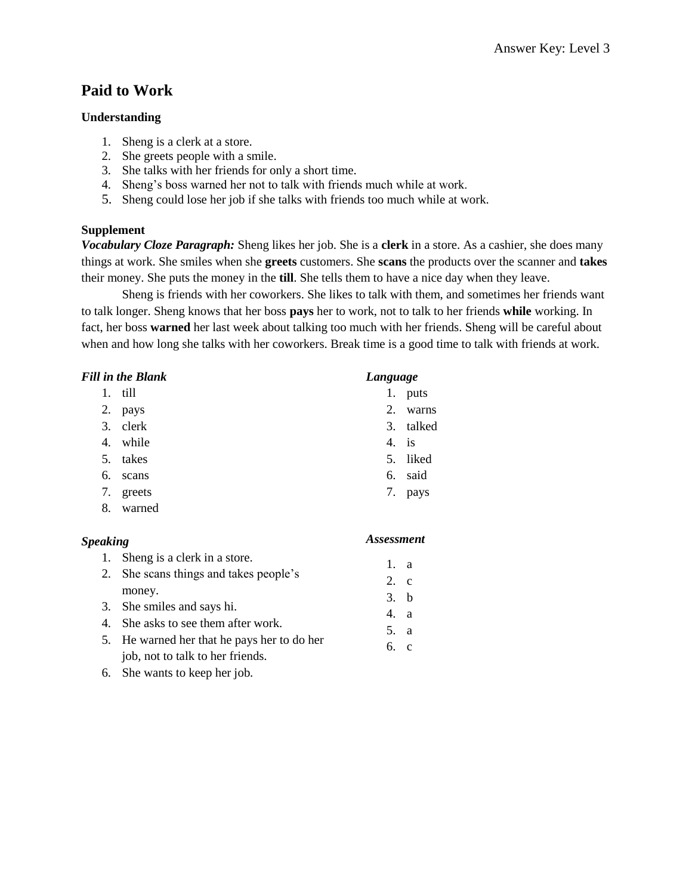## **Paid to Work**

#### **Understanding**

- 1. Sheng is a clerk at a store.
- 2. She greets people with a smile.
- 3. She talks with her friends for only a short time.
- 4. Sheng's boss warned her not to talk with friends much while at work.
- 5. Sheng could lose her job if she talks with friends too much while at work.

#### **Supplement**

*Vocabulary Cloze Paragraph:* Sheng likes her job. She is a **clerk** in a store. As a cashier, she does many things at work. She smiles when she **greets** customers. She **scans** the products over the scanner and **takes** their money. She puts the money in the **till**. She tells them to have a nice day when they leave.

Sheng is friends with her coworkers. She likes to talk with them, and sometimes her friends want to talk longer. Sheng knows that her boss **pays** her to work, not to talk to her friends **while** working. In fact, her boss **warned** her last week about talking too much with her friends. Sheng will be careful about when and how long she talks with her coworkers. Break time is a good time to talk with friends at work.

|    | <b>Fill in the Blank</b> | Language |           |
|----|--------------------------|----------|-----------|
| 1. | till                     | 1.       | puts      |
| 2. | pays                     | 2.       | warns     |
|    | 3. clerk                 |          | 3. talked |
| 4. | while                    | 4.       | is        |
| 5. | takes                    |          | 5. liked  |
| 6. | scans                    |          | 6. said   |
| 7. | greets                   | 7.       | pays      |
| 8. | warned                   |          |           |

| <b>Speaking</b> |                                             | <b>Assessment</b> |  |
|-----------------|---------------------------------------------|-------------------|--|
| 1.              | Sheng is a clerk in a store.                | 1. a              |  |
|                 | 2. She scans things and takes people's      | 2. c              |  |
|                 | money.                                      | 3. b              |  |
|                 | 3. She smiles and says hi.                  | 4. a              |  |
| 4.              | She asks to see them after work.            | 5. a              |  |
|                 | 5. He warned her that he pays her to do her | 6c                |  |
|                 | job, not to talk to her friends.            |                   |  |

6. She wants to keep her job.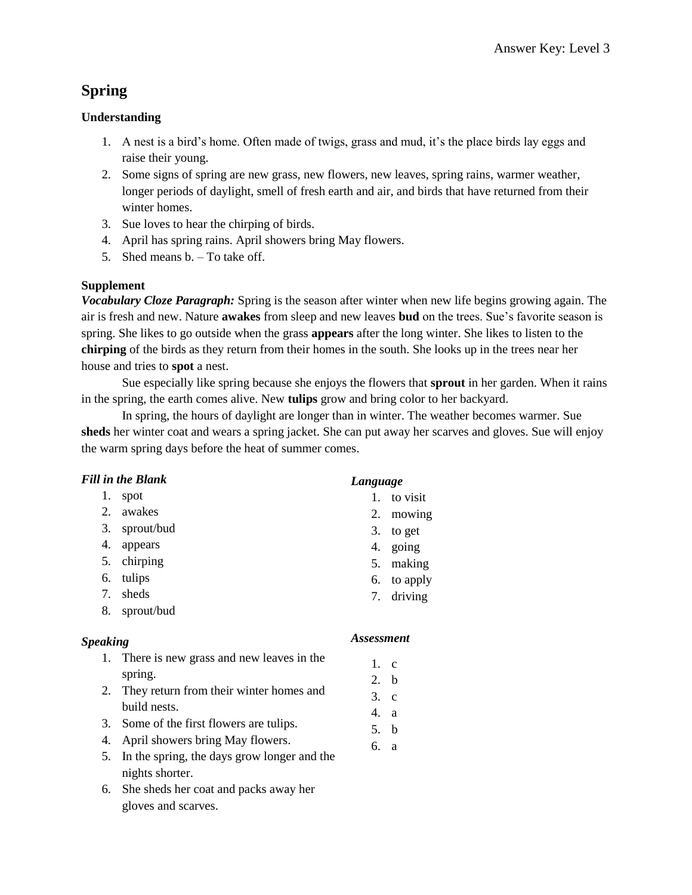# **Spring**

## **Understanding**

- 1. A nest is a bird's home. Often made of twigs, grass and mud, it's the place birds lay eggs and raise their young.
- 2. Some signs of spring are new grass, new flowers, new leaves, spring rains, warmer weather, longer periods of daylight, smell of fresh earth and air, and birds that have returned from their winter homes.
- 3. Sue loves to hear the chirping of birds.
- 4. April has spring rains. April showers bring May flowers.
- 5. Shed means b. To take off.

## **Supplement**

*Vocabulary Cloze Paragraph:* Spring is the season after winter when new life begins growing again. The air is fresh and new. Nature **awakes** from sleep and new leaves **bud** on the trees. Sue's favorite season is spring. She likes to go outside when the grass **appears** after the long winter. She likes to listen to the **chirping** of the birds as they return from their homes in the south. She looks up in the trees near her house and tries to **spot** a nest.

Sue especially like spring because she enjoys the flowers that **sprout** in her garden. When it rains in the spring, the earth comes alive. New **tulips** grow and bring color to her backyard.

In spring, the hours of daylight are longer than in winter. The weather becomes warmer. Sue **sheds** her winter coat and wears a spring jacket. She can put away her scarves and gloves. Sue will enjoy the warm spring days before the heat of summer comes.

## *Fill in the Blank*

- 1. spot 2. awakes
- 3. sprout/bud
- 4. appears
- 5. chirping
- 6. tulips
- 7. sheds
- 8. sprout/bud

## *Speaking*

- 1. There is new grass and new leaves in the spring.
- 2. They return from their winter homes and build nests.
- 3. Some of the first flowers are tulips.
- 4. April showers bring May flowers.
- 5. In the spring, the days grow longer and the nights shorter.
- 6. She sheds her coat and packs away her gloves and scarves.

## *Language*

- 1. to visit
- 2. mowing
- 3. to get
- 4. going
- 5. making
- 6. to apply
- 7. driving

- 1. c
- 2. b
- 3. c
- 4. a
- 5. b
- 6. a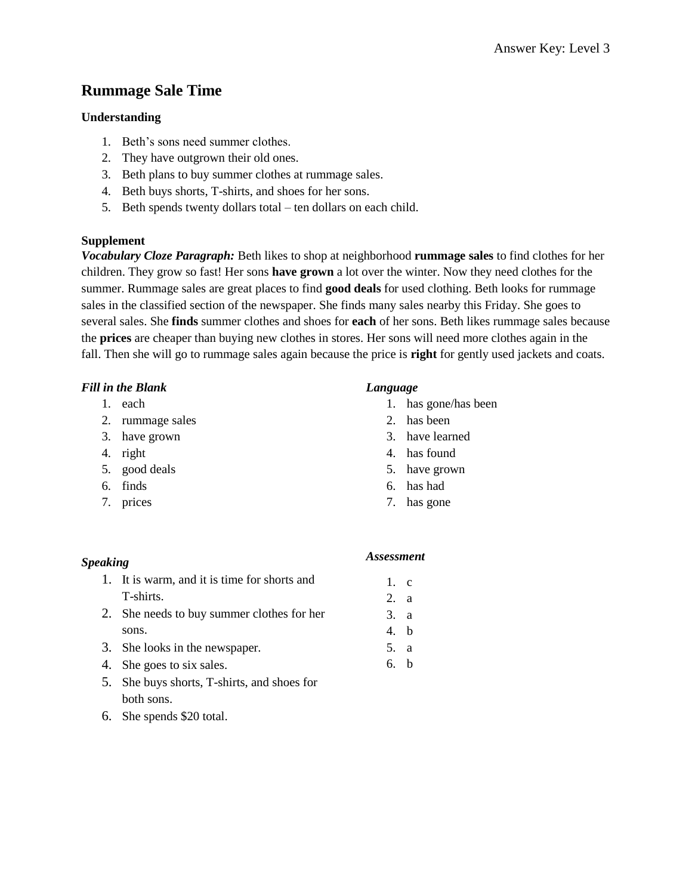## **Rummage Sale Time**

#### **Understanding**

- 1. Beth's sons need summer clothes.
- 2. They have outgrown their old ones.
- 3. Beth plans to buy summer clothes at rummage sales.
- 4. Beth buys shorts, T-shirts, and shoes for her sons.
- 5. Beth spends twenty dollars total ten dollars on each child.

#### **Supplement**

*Vocabulary Cloze Paragraph:* Beth likes to shop at neighborhood **rummage sales** to find clothes for her children. They grow so fast! Her sons **have grown** a lot over the winter. Now they need clothes for the summer. Rummage sales are great places to find **good deals** for used clothing. Beth looks for rummage sales in the classified section of the newspaper. She finds many sales nearby this Friday. She goes to several sales. She **finds** summer clothes and shoes for **each** of her sons. Beth likes rummage sales because the **prices** are cheaper than buying new clothes in stores. Her sons will need more clothes again in the fall. Then she will go to rummage sales again because the price is **right** for gently used jackets and coats.

#### *Fill in the Blank*

- 1. each
- 2. rummage sales
- 3. have grown
- 4. right
- 5. good deals
- 6. finds
- 7. prices

#### *Language*

- 1. has gone/has been
- 2. has been
- 3. have learned
- 4. has found
- 5. have grown
- 6. has had
- 7. has gone

| <i>Speaking</i> |                                              | <b>Assessment</b> |  |
|-----------------|----------------------------------------------|-------------------|--|
|                 | 1. It is warm, and it is time for shorts and | $1 \quad c$       |  |
|                 | T-shirts.                                    | 2. a              |  |
|                 | 2. She needs to buy summer clothes for her   | 3. a              |  |
|                 | sons.                                        | 4. b              |  |
|                 | 3. She looks in the newspaper.               | 5. a              |  |
|                 | 4. She goes to six sales.                    |                   |  |

- 5. She buys shorts, T-shirts, and shoes for both sons.
- 6. She spends \$20 total.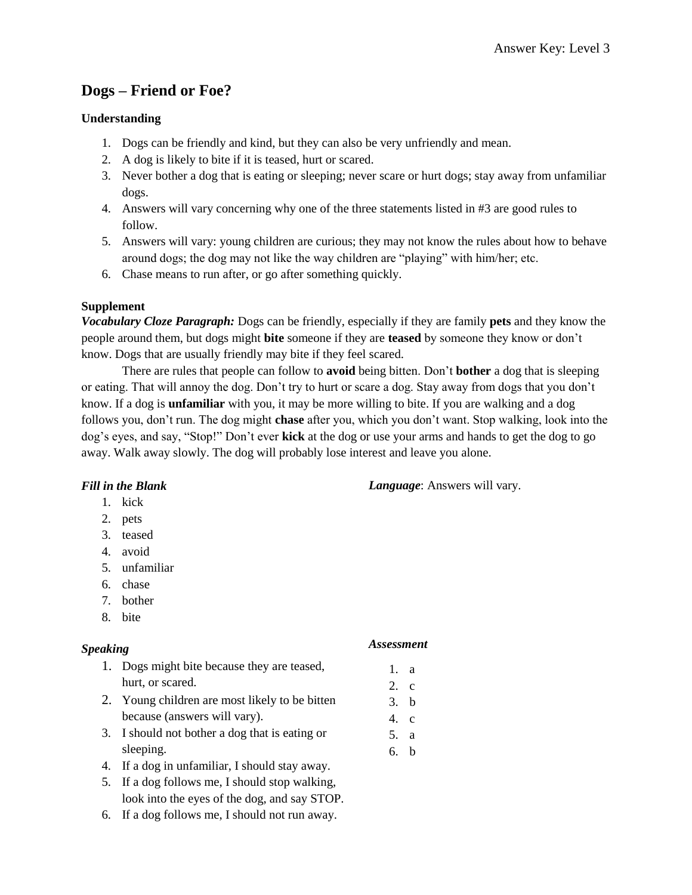# **Dogs – Friend or Foe?**

## **Understanding**

- 1. Dogs can be friendly and kind, but they can also be very unfriendly and mean.
- 2. A dog is likely to bite if it is teased, hurt or scared.
- 3. Never bother a dog that is eating or sleeping; never scare or hurt dogs; stay away from unfamiliar dogs.
- 4. Answers will vary concerning why one of the three statements listed in #3 are good rules to follow.
- 5. Answers will vary: young children are curious; they may not know the rules about how to behave around dogs; the dog may not like the way children are "playing" with him/her; etc.
- 6. Chase means to run after, or go after something quickly.

### **Supplement**

*Vocabulary Cloze Paragraph:* Dogs can be friendly, especially if they are family **pets** and they know the people around them, but dogs might **bite** someone if they are **teased** by someone they know or don't know. Dogs that are usually friendly may bite if they feel scared.

There are rules that people can follow to **avoid** being bitten. Don't **bother** a dog that is sleeping or eating. That will annoy the dog. Don't try to hurt or scare a dog. Stay away from dogs that you don't know. If a dog is **unfamiliar** with you, it may be more willing to bite. If you are walking and a dog follows you, don't run. The dog might **chase** after you, which you don't want. Stop walking, look into the dog's eyes, and say, "Stop!" Don't ever **kick** at the dog or use your arms and hands to get the dog to go away. Walk away slowly. The dog will probably lose interest and leave you alone.

### *Fill in the Blank*

- 1. kick
- 2. pets
- 3. teased
- 4. avoid
- 5. unfamiliar
- 6. chase
- 7. bother
- 8. bite

### *Speaking*

#### *Assessment*

*Language*: Answers will vary.

- 1. Dogs might bite because they are teased, hurt, or scared.
- 2. Young children are most likely to be bitten because (answers will vary).
- 3. I should not bother a dog that is eating or sleeping.
- 4. If a dog in unfamiliar, I should stay away.
- 5. If a dog follows me, I should stop walking, look into the eyes of the dog, and say STOP.
- 6. If a dog follows me, I should not run away.
- 1. a 2. c
- 3. b
- 4. c
- 5. a
- 6. b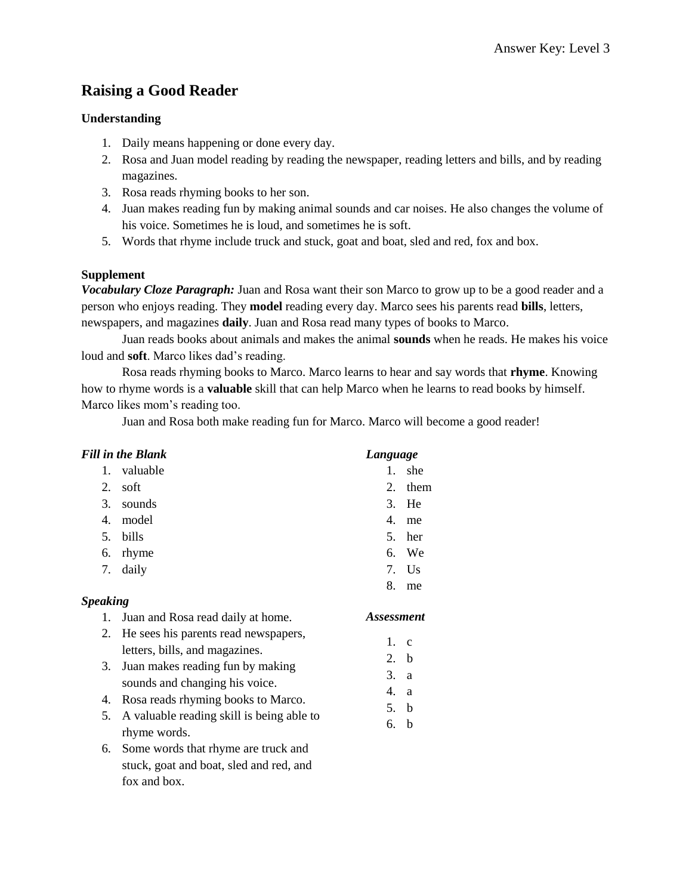# **Raising a Good Reader**

## **Understanding**

- 1. Daily means happening or done every day.
- 2. Rosa and Juan model reading by reading the newspaper, reading letters and bills, and by reading magazines.
- 3. Rosa reads rhyming books to her son.
- 4. Juan makes reading fun by making animal sounds and car noises. He also changes the volume of his voice. Sometimes he is loud, and sometimes he is soft.
- 5. Words that rhyme include truck and stuck, goat and boat, sled and red, fox and box.

## **Supplement**

fox and box.

*Vocabulary Cloze Paragraph:* Juan and Rosa want their son Marco to grow up to be a good reader and a person who enjoys reading. They **model** reading every day. Marco sees his parents read **bills**, letters, newspapers, and magazines **daily**. Juan and Rosa read many types of books to Marco.

Juan reads books about animals and makes the animal **sounds** when he reads. He makes his voice loud and **soft**. Marco likes dad's reading.

Rosa reads rhyming books to Marco. Marco learns to hear and say words that **rhyme**. Knowing how to rhyme words is a **valuable** skill that can help Marco when he learns to read books by himself. Marco likes mom's reading too.

Juan and Rosa both make reading fun for Marco. Marco will become a good reader!

|                 | <b>Fill in the Blank</b>                                               | Language                 |              |
|-----------------|------------------------------------------------------------------------|--------------------------|--------------|
| 1.              | valuable                                                               | $\mathbf{1}$             | she          |
| 2.              | soft                                                                   | 2.                       | them         |
| 3.              | sounds                                                                 | 3.                       | He           |
| 4.              | model                                                                  | 4.                       | me           |
| 5.              | bills                                                                  | 5.                       | her          |
| 6.              | rhyme                                                                  | 6.                       | We           |
| 7.              | daily                                                                  | 7.                       | Us           |
|                 |                                                                        | 8.                       | me           |
| <b>Speaking</b> |                                                                        |                          |              |
|                 |                                                                        |                          |              |
| 1.              | Juan and Rosa read daily at home.                                      | <i><b>Assessment</b></i> |              |
| 2.              | He sees his parents read newspapers,<br>letters, bills, and magazines. | $\mathbf{1}$ .           | $\mathbf{C}$ |
| 3.              | Juan makes reading fun by making<br>sounds and changing his voice.     | 2.<br>3.                 | h<br>a       |
| 4.              | Rosa reads rhyming books to Marco.                                     | 4.                       | a            |
| 5.              |                                                                        | 5.                       | $\mathbf b$  |
|                 | A valuable reading skill is being able to<br>rhyme words.              | 6.                       | b            |
| 6.              | Some words that rhyme are truck and                                    |                          |              |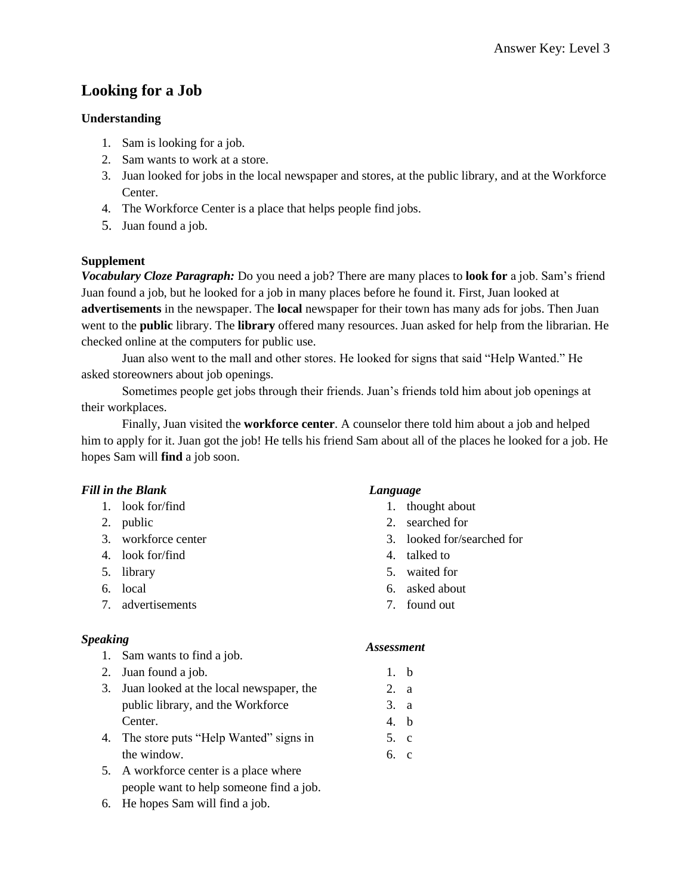# **Looking for a Job**

## **Understanding**

- 1. Sam is looking for a job.
- 2. Sam wants to work at a store.
- 3. Juan looked for jobs in the local newspaper and stores, at the public library, and at the Workforce Center.
- 4. The Workforce Center is a place that helps people find jobs.
- 5. Juan found a job.

## **Supplement**

*Vocabulary Cloze Paragraph:* Do you need a job? There are many places to **look for** a job. Sam's friend Juan found a job, but he looked for a job in many places before he found it. First, Juan looked at **advertisements** in the newspaper. The **local** newspaper for their town has many ads for jobs. Then Juan went to the **public** library. The **library** offered many resources. Juan asked for help from the librarian. He checked online at the computers for public use.

Juan also went to the mall and other stores. He looked for signs that said "Help Wanted." He asked storeowners about job openings.

Sometimes people get jobs through their friends. Juan's friends told him about job openings at their workplaces.

Finally, Juan visited the **workforce center**. A counselor there told him about a job and helped him to apply for it. Juan got the job! He tells his friend Sam about all of the places he looked for a job. He hopes Sam will **find** a job soon.

### *Fill in the Blank*

### 1. look for/find

- 2. public
- 3. workforce center
- 4. look for/find
- 5. library
- 6. local
- 7. advertisements

## *Speaking*

- 1. Sam wants to find a job.
- 2. Juan found a job.
- 3. Juan looked at the local newspaper, the public library, and the Workforce Center.
- 4. The store puts "Help Wanted" signs in the window.
- 5. A workforce center is a place where people want to help someone find a job.
- 6. He hopes Sam will find a job.

## *Language*

- 1. thought about
- 2. searched for
- 3. looked for/searched for
- 4. talked to
- 5. waited for
- 6. asked about
- 7. found out

- 1. b
- 2. a
- 3. a
- 4. b
- 5. c
- 6. c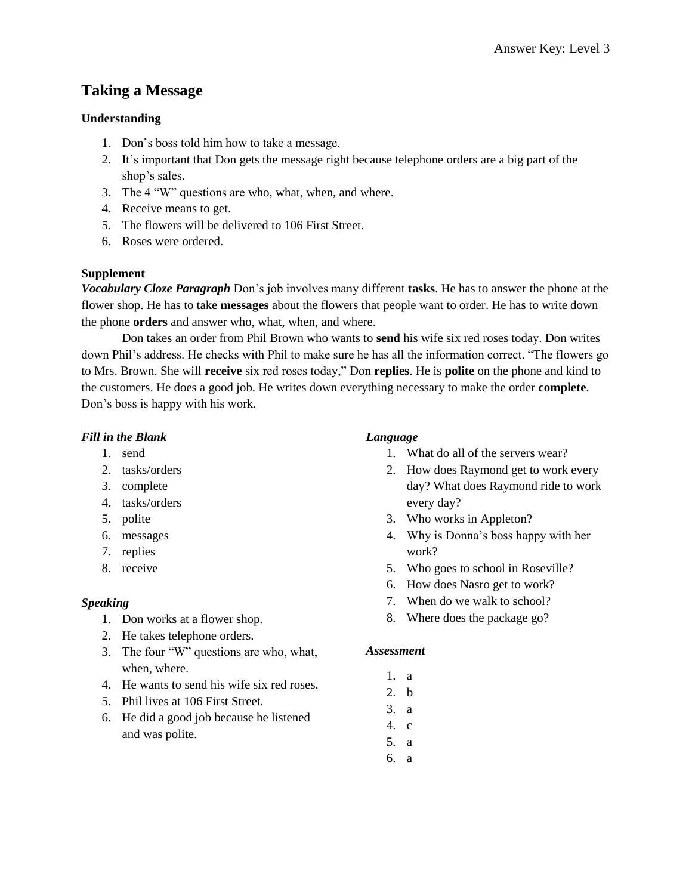# **Taking a Message**

### **Understanding**

- 1. Don's boss told him how to take a message.
- 2. It's important that Don gets the message right because telephone orders are a big part of the shop's sales.
- 3. The 4 "W" questions are who, what, when, and where.
- 4. Receive means to get.
- 5. The flowers will be delivered to 106 First Street.
- 6. Roses were ordered.

## **Supplement**

*Vocabulary Cloze Paragraph* Don's job involves many different **tasks**. He has to answer the phone at the flower shop. He has to take **messages** about the flowers that people want to order. He has to write down the phone **orders** and answer who, what, when, and where.

Don takes an order from Phil Brown who wants to **send** his wife six red roses today. Don writes down Phil's address. He checks with Phil to make sure he has all the information correct. "The flowers go to Mrs. Brown. She will **receive** six red roses today," Don **replies**. He is **polite** on the phone and kind to the customers. He does a good job. He writes down everything necessary to make the order **complete**. Don's boss is happy with his work.

## *Fill in the Blank*

- 1. send
- 2. tasks/orders
- 3. complete
- 4. tasks/orders
- 5. polite
- 6. messages
- 7. replies
- 8. receive

## *Speaking*

- 1. Don works at a flower shop.
- 2. He takes telephone orders.
- 3. The four "W" questions are who, what, when, where.
- 4. He wants to send his wife six red roses.
- 5. Phil lives at 106 First Street.
- 6. He did a good job because he listened and was polite.

## *Language*

- 1. What do all of the servers wear?
- 2. How does Raymond get to work every day? What does Raymond ride to work every day?
- 3. Who works in Appleton?
- 4. Why is Donna's boss happy with her work?
- 5. Who goes to school in Roseville?
- 6. How does Nasro get to work?
- 7. When do we walk to school?
- 8. Where does the package go?

- 1. a
- 2. b
- 3. a
- 4. c
- 5. a
- 6. a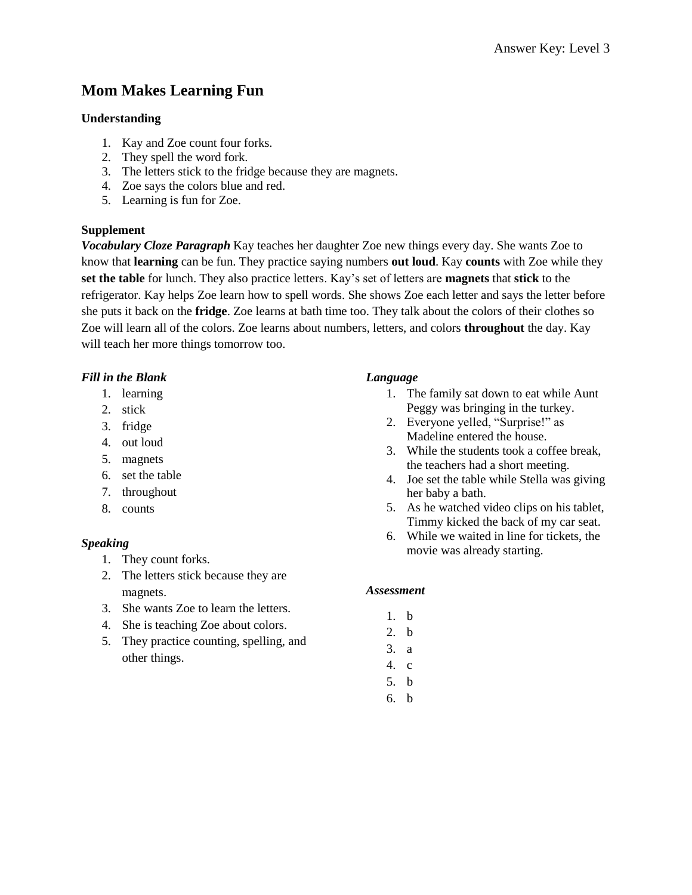# **Mom Makes Learning Fun**

### **Understanding**

- 1. Kay and Zoe count four forks.
- 2. They spell the word fork.
- 3. The letters stick to the fridge because they are magnets.
- 4. Zoe says the colors blue and red.
- 5. Learning is fun for Zoe.

#### **Supplement**

*Vocabulary Cloze Paragraph* Kay teaches her daughter Zoe new things every day. She wants Zoe to know that **learning** can be fun. They practice saying numbers **out loud**. Kay **counts** with Zoe while they **set the table** for lunch. They also practice letters. Kay's set of letters are **magnets** that **stick** to the refrigerator. Kay helps Zoe learn how to spell words. She shows Zoe each letter and says the letter before she puts it back on the **fridge**. Zoe learns at bath time too. They talk about the colors of their clothes so Zoe will learn all of the colors. Zoe learns about numbers, letters, and colors **throughout** the day. Kay will teach her more things tomorrow too.

### *Fill in the Blank*

- 1. learning
- 2. stick
- 3. fridge
- 4. out loud
- 5. magnets
- 6. set the table
- 7. throughout
- 8. counts

### *Speaking*

- 1. They count forks.
- 2. The letters stick because they are magnets.
- 3. She wants Zoe to learn the letters.
- 4. She is teaching Zoe about colors.
- 5. They practice counting, spelling, and other things.

#### *Language*

- 1. The family sat down to eat while Aunt Peggy was bringing in the turkey.
- 2. Everyone yelled, "Surprise!" as Madeline entered the house.
- 3. While the students took a coffee break, the teachers had a short meeting.
- 4. Joe set the table while Stella was giving her baby a bath.
- 5. As he watched video clips on his tablet, Timmy kicked the back of my car seat.
- 6. While we waited in line for tickets, the movie was already starting.

- 1. b
- 2. b
- 3. a
- 4. c
- 5. b
- 6. b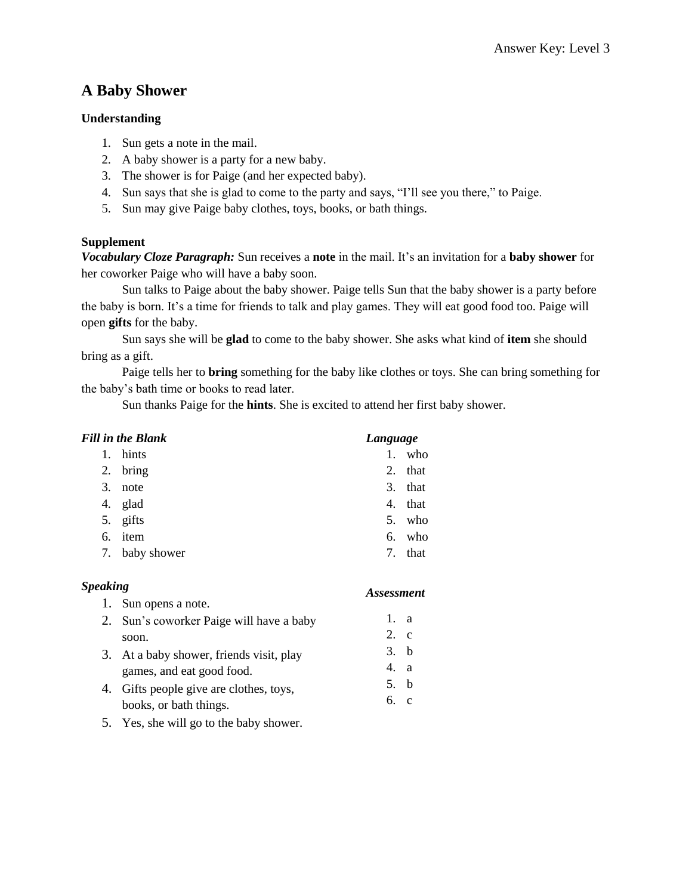## **A Baby Shower**

### **Understanding**

- 1. Sun gets a note in the mail.
- 2. A baby shower is a party for a new baby.
- 3. The shower is for Paige (and her expected baby).
- 4. Sun says that she is glad to come to the party and says, "I'll see you there," to Paige.
- 5. Sun may give Paige baby clothes, toys, books, or bath things.

## **Supplement**

*Vocabulary Cloze Paragraph:* Sun receives a **note** in the mail. It's an invitation for a **baby shower** for her coworker Paige who will have a baby soon.

Sun talks to Paige about the baby shower. Paige tells Sun that the baby shower is a party before the baby is born. It's a time for friends to talk and play games. They will eat good food too. Paige will open **gifts** for the baby.

Sun says she will be **glad** to come to the baby shower. She asks what kind of **item** she should bring as a gift.

Paige tells her to **bring** something for the baby like clothes or toys. She can bring something for the baby's bath time or books to read later.

Sun thanks Paige for the **hints**. She is excited to attend her first baby shower.

|    | Fill in the Blank | Language   |
|----|-------------------|------------|
| 1. | hints             | 1. who     |
| 2. | bring             | 2.<br>that |
| 3. | note              | 3.<br>that |
| 4. | glad              | that<br>4. |
| 5. | gifts             | 5. who     |
| 6. | item              | who<br>6.  |
|    | 7. baby shower    | that<br>7. |

### *Speaking*

- 1. Sun opens a note. 2. Sun's coworker Paige will have a baby soon. 3. At a baby shower, friends visit, play games, and eat good food. 4. Gifts people give are clothes, toys, 1. a 2. c 3. b 4. a 5. b 6. c
- books, or bath things. 5. Yes, she will go to the baby shower.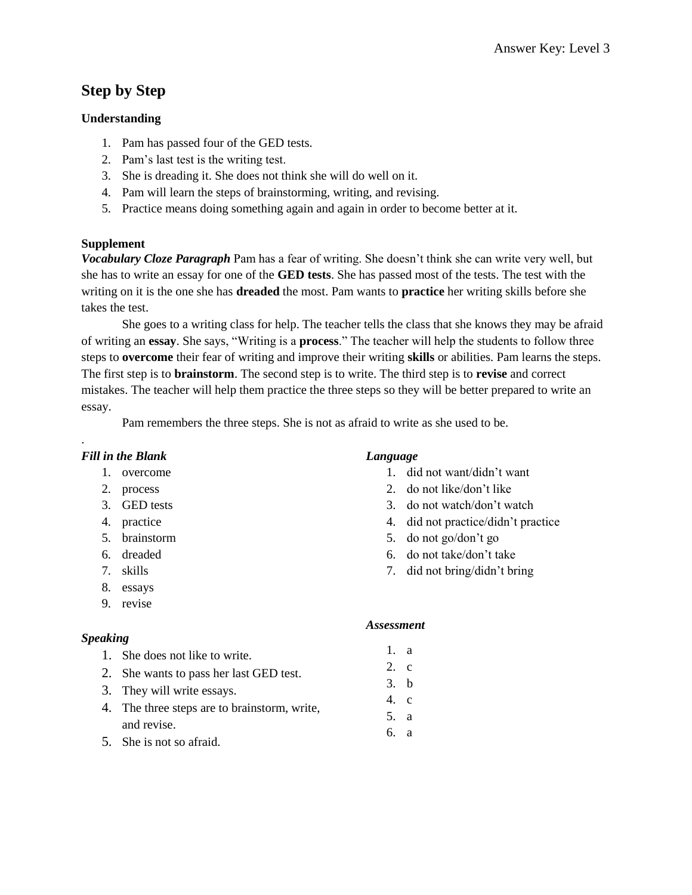# **Step by Step**

### **Understanding**

- 1. Pam has passed four of the GED tests.
- 2. Pam's last test is the writing test.
- 3. She is dreading it. She does not think she will do well on it.
- 4. Pam will learn the steps of brainstorming, writing, and revising.
- 5. Practice means doing something again and again in order to become better at it.

### **Supplement**

*Vocabulary Cloze Paragraph* Pam has a fear of writing. She doesn't think she can write very well, but she has to write an essay for one of the **GED tests**. She has passed most of the tests. The test with the writing on it is the one she has **dreaded** the most. Pam wants to **practice** her writing skills before she takes the test.

She goes to a writing class for help. The teacher tells the class that she knows they may be afraid of writing an **essay**. She says, "Writing is a **process**." The teacher will help the students to follow three steps to **overcome** their fear of writing and improve their writing **skills** or abilities. Pam learns the steps. The first step is to **brainstorm**. The second step is to write. The third step is to **revise** and correct mistakes. The teacher will help them practice the three steps so they will be better prepared to write an essay.

Pam remembers the three steps. She is not as afraid to write as she used to be.

## *Fill in the Blank*

.

- 1. overcome
- 2. process
- 3. GED tests
- 4. practice
- 5. brainstorm
- 6. dreaded
- 7. skills
- 8. essays
- 9. revise

### *Speaking*

- 1. She does not like to write.
- 2. She wants to pass her last GED test.
- 3. They will write essays.
- 4. The three steps are to brainstorm, write, and revise.
- 5. She is not so afraid.

## *Language*

- 1. did not want/didn't want
- 2. do not like/don't like
- 3. do not watch/don't watch
- 4. did not practice/didn't practice
- 5. do not go/don't go
- 6. do not take/don't take
- 7. did not bring/didn't bring

- 1. a
- 2. c
- 3. b
- 4. c
- 5. a
- 6. a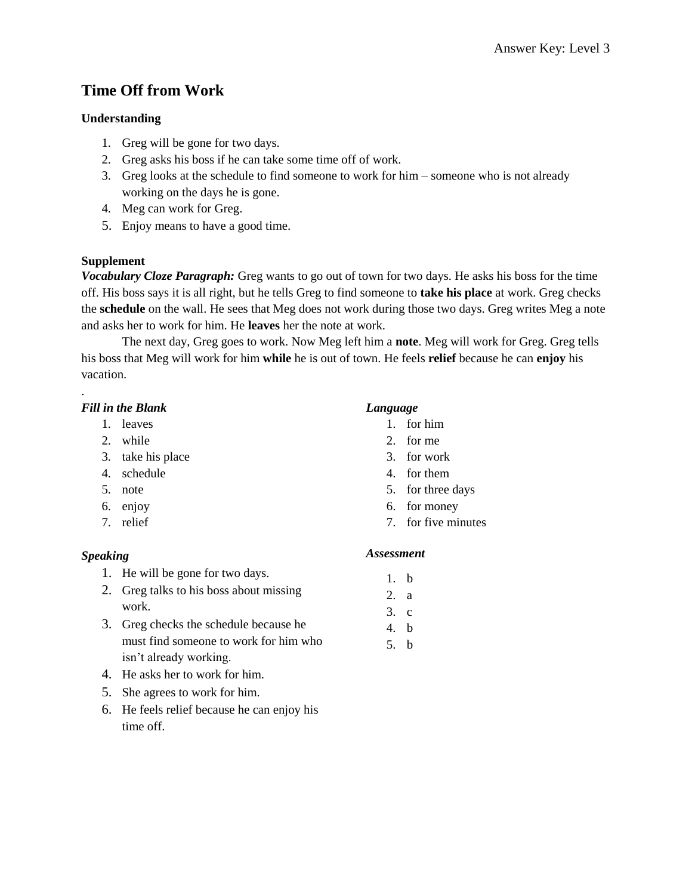# **Time Off from Work**

## **Understanding**

- 1. Greg will be gone for two days.
- 2. Greg asks his boss if he can take some time off of work.
- 3. Greg looks at the schedule to find someone to work for him someone who is not already working on the days he is gone.
- 4. Meg can work for Greg.
- 5. Enjoy means to have a good time.

## **Supplement**

*Vocabulary Cloze Paragraph:* Greg wants to go out of town for two days. He asks his boss for the time off. His boss says it is all right, but he tells Greg to find someone to **take his place** at work. Greg checks the **schedule** on the wall. He sees that Meg does not work during those two days. Greg writes Meg a note and asks her to work for him. He **leaves** her the note at work.

The next day, Greg goes to work. Now Meg left him a **note**. Meg will work for Greg. Greg tells his boss that Meg will work for him **while** he is out of town. He feels **relief** because he can **enjoy** his vacation.

## *Fill in the Blank*

.

- 1. leaves
- 2. while
- 3. take his place
- 4. schedule
- 5. note
- 6. enjoy
- 7. relief

### *Speaking*

- 1. He will be gone for two days.
- 2. Greg talks to his boss about missing work.
- 3. Greg checks the schedule because he must find someone to work for him who isn't already working.
- 4. He asks her to work for him.
- 5. She agrees to work for him.
- 6. He feels relief because he can enjoy his time off.

### *Language*

- 1. for him
- 2. for me
- 3. for work
- 4. for them
- 5. for three days
- 6. for money
- 7. for five minutes

- 1. b
- 2. a
- 3. c
- 4. b
- 5. b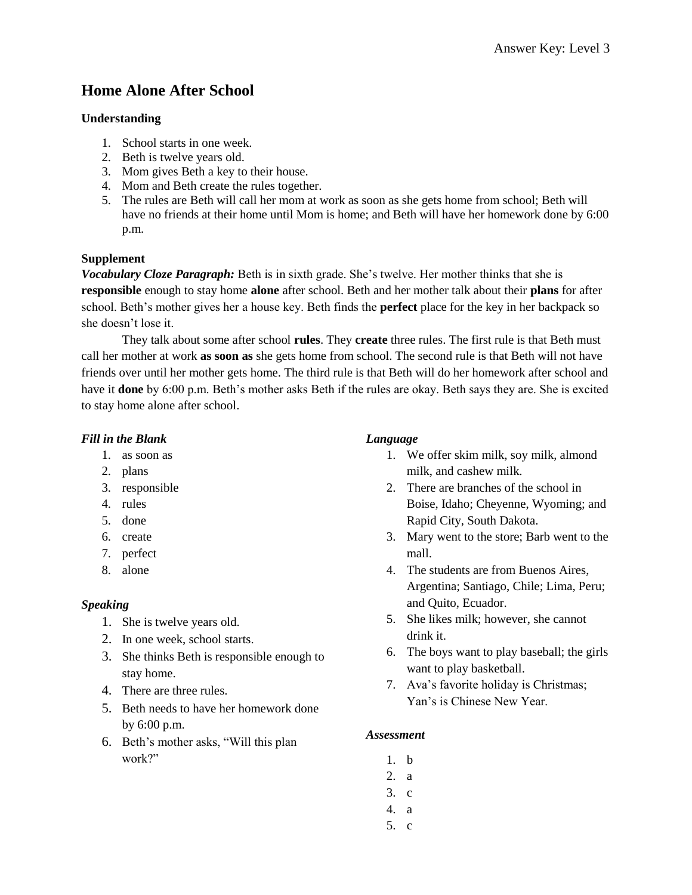# **Home Alone After School**

#### **Understanding**

- 1. School starts in one week.
- 2. Beth is twelve years old.
- 3. Mom gives Beth a key to their house.
- 4. Mom and Beth create the rules together.
- 5. The rules are Beth will call her mom at work as soon as she gets home from school; Beth will have no friends at their home until Mom is home; and Beth will have her homework done by 6:00 p.m.

#### **Supplement**

*Vocabulary Cloze Paragraph:* Beth is in sixth grade. She's twelve. Her mother thinks that she is **responsible** enough to stay home **alone** after school. Beth and her mother talk about their **plans** for after school. Beth's mother gives her a house key. Beth finds the **perfect** place for the key in her backpack so she doesn't lose it.

They talk about some after school **rules**. They **create** three rules. The first rule is that Beth must call her mother at work **as soon as** she gets home from school. The second rule is that Beth will not have friends over until her mother gets home. The third rule is that Beth will do her homework after school and have it **done** by 6:00 p.m. Beth's mother asks Beth if the rules are okay. Beth says they are. She is excited to stay home alone after school.

### *Fill in the Blank*

- 1. as soon as
- 2. plans
- 3. responsible
- 4. rules
- 5. done
- 6. create
- 7. perfect
- 8. alone

#### *Speaking*

- 1. She is twelve years old.
- 2. In one week, school starts.
- 3. She thinks Beth is responsible enough to stay home.
- 4. There are three rules.
- 5. Beth needs to have her homework done by 6:00 p.m.
- 6. Beth's mother asks, "Will this plan work?"

### *Language*

- 1. We offer skim milk, soy milk, almond milk, and cashew milk.
- 2. There are branches of the school in Boise, Idaho; Cheyenne, Wyoming; and Rapid City, South Dakota.
- 3. Mary went to the store; Barb went to the mall.
- 4. The students are from Buenos Aires, Argentina; Santiago, Chile; Lima, Peru; and Quito, Ecuador.
- 5. She likes milk; however, she cannot drink it.
- 6. The boys want to play baseball; the girls want to play basketball.
- 7. Ava's favorite holiday is Christmas; Yan's is Chinese New Year.

- 1. b
- 2. a
- 3. c
- 4. a
- 5. c